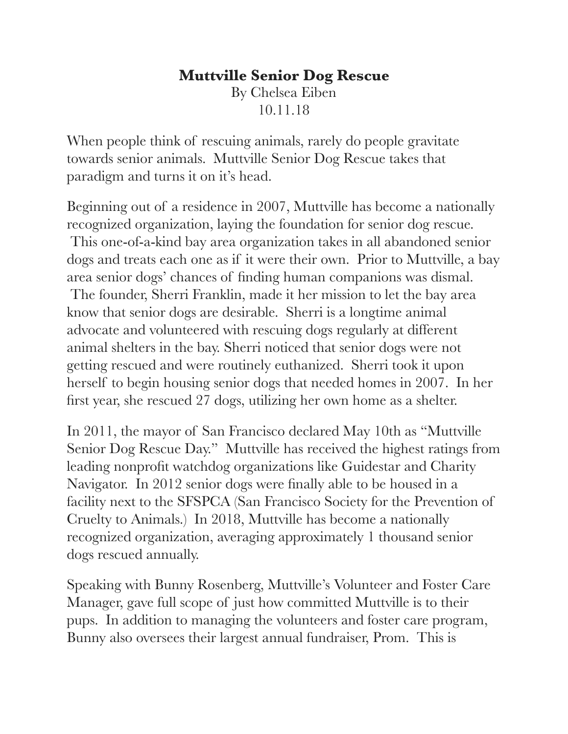## **Muttville Senior Dog Rescue**  By Chelsea Eiben 10.11.18

When people think of rescuing animals, rarely do people gravitate towards senior animals. Muttville Senior Dog Rescue takes that paradigm and turns it on it's head.

Beginning out of a residence in 2007, Muttville has become a nationally recognized organization, laying the foundation for senior dog rescue. This one-of-a-kind bay area organization takes in all abandoned senior dogs and treats each one as if it were their own. Prior to Muttville, a bay area senior dogs' chances of finding human companions was dismal. The founder, Sherri Franklin, made it her mission to let the bay area know that senior dogs are desirable. Sherri is a longtime animal advocate and volunteered with rescuing dogs regularly at different animal shelters in the bay. Sherri noticed that senior dogs were not getting rescued and were routinely euthanized. Sherri took it upon herself to begin housing senior dogs that needed homes in 2007. In her first year, she rescued 27 dogs, utilizing her own home as a shelter.

In 2011, the mayor of San Francisco declared May 10th as "Muttville Senior Dog Rescue Day." Muttville has received the highest ratings from leading nonprofit watchdog organizations like Guidestar and Charity Navigator. In 2012 senior dogs were finally able to be housed in a facility next to the SFSPCA (San Francisco Society for the Prevention of Cruelty to Animals.) In 2018, Muttville has become a nationally recognized organization, averaging approximately 1 thousand senior dogs rescued annually.

Speaking with Bunny Rosenberg, Muttville's Volunteer and Foster Care Manager, gave full scope of just how committed Muttville is to their pups. In addition to managing the volunteers and foster care program, Bunny also oversees their largest annual fundraiser, Prom. This is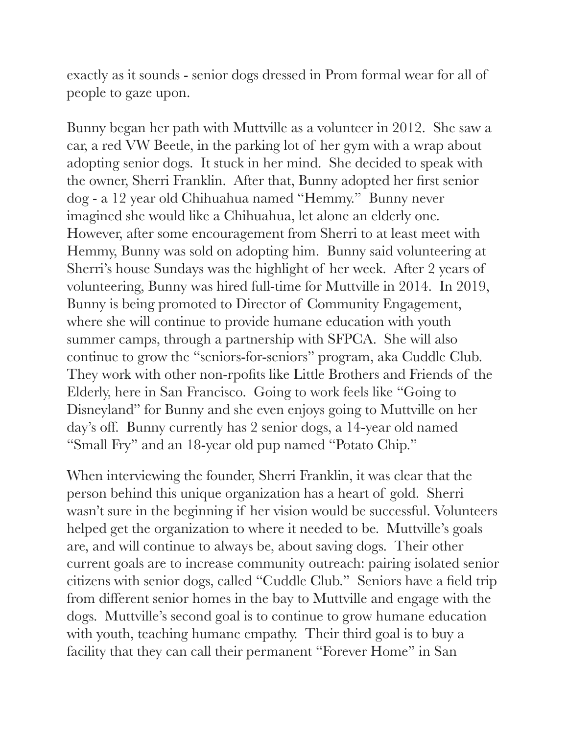exactly as it sounds - senior dogs dressed in Prom formal wear for all of people to gaze upon.

Bunny began her path with Muttville as a volunteer in 2012. She saw a car, a red VW Beetle, in the parking lot of her gym with a wrap about adopting senior dogs. It stuck in her mind. She decided to speak with the owner, Sherri Franklin. After that, Bunny adopted her first senior dog - a 12 year old Chihuahua named "Hemmy." Bunny never imagined she would like a Chihuahua, let alone an elderly one. However, after some encouragement from Sherri to at least meet with Hemmy, Bunny was sold on adopting him. Bunny said volunteering at Sherri's house Sundays was the highlight of her week. After 2 years of volunteering, Bunny was hired full-time for Muttville in 2014. In 2019, Bunny is being promoted to Director of Community Engagement, where she will continue to provide humane education with youth summer camps, through a partnership with SFPCA. She will also continue to grow the "seniors-for-seniors" program, aka Cuddle Club. They work with other non-rpofits like Little Brothers and Friends of the Elderly, here in San Francisco. Going to work feels like "Going to Disneyland" for Bunny and she even enjoys going to Muttville on her day's off. Bunny currently has 2 senior dogs, a 14-year old named "Small Fry" and an 18-year old pup named "Potato Chip."

When interviewing the founder, Sherri Franklin, it was clear that the person behind this unique organization has a heart of gold. Sherri wasn't sure in the beginning if her vision would be successful. Volunteers helped get the organization to where it needed to be. Muttville's goals are, and will continue to always be, about saving dogs. Their other current goals are to increase community outreach: pairing isolated senior citizens with senior dogs, called "Cuddle Club." Seniors have a field trip from different senior homes in the bay to Muttville and engage with the dogs. Muttville's second goal is to continue to grow humane education with youth, teaching humane empathy. Their third goal is to buy a facility that they can call their permanent "Forever Home" in San